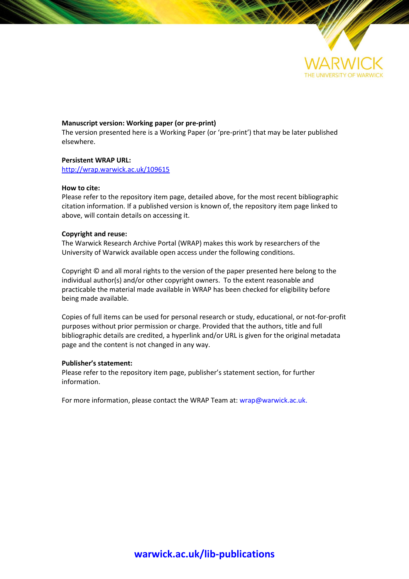

## **Manuscript version: Working paper (or pre-print)**

The version presented here is a Working Paper (or 'pre-print') that may be later published elsewhere.

#### **Persistent WRAP URL:**

<http://wrap.warwick.ac.uk/109615>

### **How to cite:**

Please refer to the repository item page, detailed above, for the most recent bibliographic citation information. If a published version is known of, the repository item page linked to above, will contain details on accessing it.

### **Copyright and reuse:**

The Warwick Research Archive Portal (WRAP) makes this work by researchers of the University of Warwick available open access under the following conditions.

Copyright © and all moral rights to the version of the paper presented here belong to the individual author(s) and/or other copyright owners. To the extent reasonable and practicable the material made available in WRAP has been checked for eligibility before being made available.

Copies of full items can be used for personal research or study, educational, or not-for-profit purposes without prior permission or charge. Provided that the authors, title and full bibliographic details are credited, a hyperlink and/or URL is given for the original metadata page and the content is not changed in any way.

## **Publisher's statement:**

Please refer to the repository item page, publisher's statement section, for further information.

For more information, please contact the WRAP Team at[: wrap@warwick.ac.uk.](mailto:wrap@warwick.ac.uk)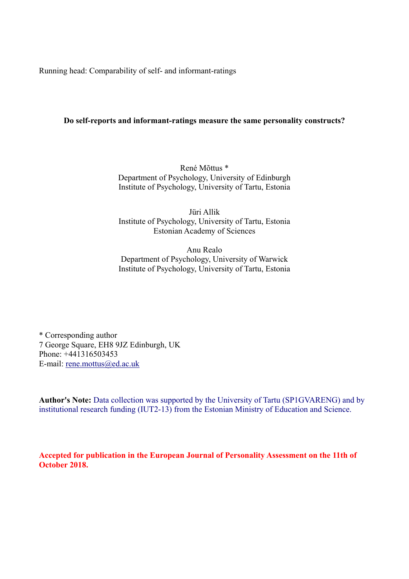Running head: Comparability of self- and informant-ratings

# **Do self-reports and informant-ratings measure the same personality constructs?**

René Mõttus \* Department of Psychology, University of Edinburgh Institute of Psychology, University of Tartu, Estonia

Jüri Allik Institute of Psychology, University of Tartu, Estonia Estonian Academy of Sciences

Anu Realo Department of Psychology, University of Warwick Institute of Psychology, University of Tartu, Estonia

\* Corresponding author 7 George Square, EH8 9JZ Edinburgh, UK Phone: +441316503453 E-mail: rene.mottus@ed.ac.uk

**Author's Note:** Data collection was supported by the University of Tartu (SP1GVARENG) and by institutional research funding (IUT2-13) from the Estonian Ministry of Education and Science.

**Accepted for publication in the European Journal of Personality Assessment on the 11th of October 2018.**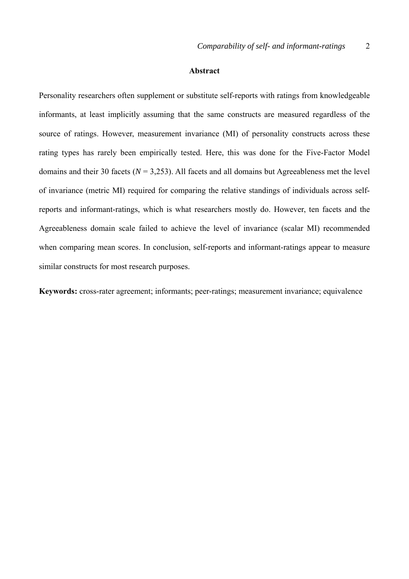### **Abstract**

Personality researchers often supplement or substitute self-reports with ratings from knowledgeable informants, at least implicitly assuming that the same constructs are measured regardless of the source of ratings. However, measurement invariance (MI) of personality constructs across these rating types has rarely been empirically tested. Here, this was done for the Five-Factor Model domains and their 30 facets ( $N = 3.253$ ). All facets and all domains but Agreeableness met the level of invariance (metric MI) required for comparing the relative standings of individuals across selfreports and informant-ratings, which is what researchers mostly do. However, ten facets and the Agreeableness domain scale failed to achieve the level of invariance (scalar MI) recommended when comparing mean scores. In conclusion, self-reports and informant-ratings appear to measure similar constructs for most research purposes.

**Keywords:** cross-rater agreement; informants; peer-ratings; measurement invariance; equivalence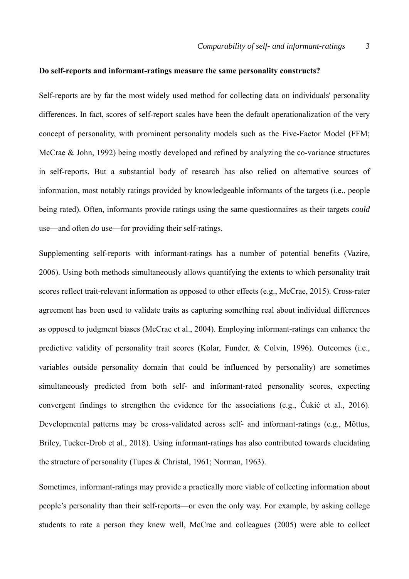## **Do self-reports and informant-ratings measure the same personality constructs?**

Self-reports are by far the most widely used method for collecting data on individuals' personality differences. In fact, scores of self-report scales have been the default operationalization of the very concept of personality, with prominent personality models such as the Five-Factor Model (FFM; McCrae & John, 1992) being mostly developed and refined by analyzing the co-variance structures in self-reports. But a substantial body of research has also relied on alternative sources of information, most notably ratings provided by knowledgeable informants of the targets (i.e., people being rated). Often, informants provide ratings using the same questionnaires as their targets *could*  use—and often *do* use—for providing their self-ratings.

Supplementing self-reports with informant-ratings has a number of potential benefits (Vazire, 2006). Using both methods simultaneously allows quantifying the extents to which personality trait scores reflect trait-relevant information as opposed to other effects (e.g., McCrae, 2015). Cross-rater agreement has been used to validate traits as capturing something real about individual differences as opposed to judgment biases (McCrae et al., 2004). Employing informant-ratings can enhance the predictive validity of personality trait scores (Kolar, Funder, & Colvin, 1996). Outcomes (i.e., variables outside personality domain that could be influenced by personality) are sometimes simultaneously predicted from both self- and informant-rated personality scores, expecting convergent findings to strengthen the evidence for the associations (e.g., Čukić et al., 2016). Developmental patterns may be cross-validated across self- and informant-ratings (e.g., Mõttus, Briley, Tucker-Drob et al., 2018). Using informant-ratings has also contributed towards elucidating the structure of personality (Tupes & Christal, 1961; Norman, 1963).

Sometimes, informant-ratings may provide a practically more viable of collecting information about people's personality than their self-reports—or even the only way. For example, by asking college students to rate a person they knew well, McCrae and colleagues (2005) were able to collect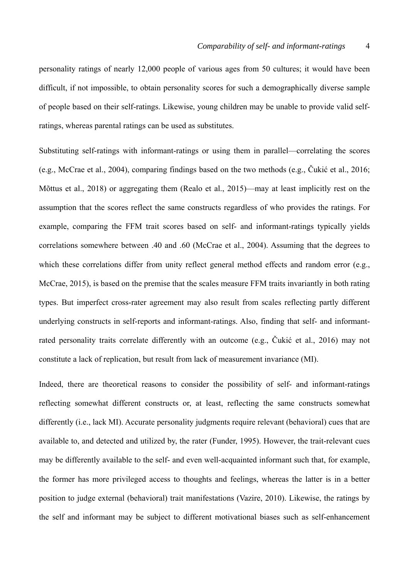personality ratings of nearly 12,000 people of various ages from 50 cultures; it would have been difficult, if not impossible, to obtain personality scores for such a demographically diverse sample of people based on their self-ratings. Likewise, young children may be unable to provide valid selfratings, whereas parental ratings can be used as substitutes.

Substituting self-ratings with informant-ratings or using them in parallel—correlating the scores (e.g., McCrae et al., 2004), comparing findings based on the two methods (e.g., Čukić et al., 2016; Mõttus et al., 2018) or aggregating them (Realo et al., 2015)—may at least implicitly rest on the assumption that the scores reflect the same constructs regardless of who provides the ratings. For example, comparing the FFM trait scores based on self- and informant-ratings typically yields correlations somewhere between .40 and .60 (McCrae et al., 2004). Assuming that the degrees to which these correlations differ from unity reflect general method effects and random error (e.g., McCrae, 2015), is based on the premise that the scales measure FFM traits invariantly in both rating types. But imperfect cross-rater agreement may also result from scales reflecting partly different underlying constructs in self-reports and informant-ratings. Also, finding that self- and informantrated personality traits correlate differently with an outcome (e.g., Čukić et al., 2016) may not constitute a lack of replication, but result from lack of measurement invariance (MI).

Indeed, there are theoretical reasons to consider the possibility of self- and informant-ratings reflecting somewhat different constructs or, at least, reflecting the same constructs somewhat differently (i.e., lack MI). Accurate personality judgments require relevant (behavioral) cues that are available to, and detected and utilized by, the rater (Funder, 1995). However, the trait-relevant cues may be differently available to the self- and even well-acquainted informant such that, for example, the former has more privileged access to thoughts and feelings, whereas the latter is in a better position to judge external (behavioral) trait manifestations (Vazire, 2010). Likewise, the ratings by the self and informant may be subject to different motivational biases such as self-enhancement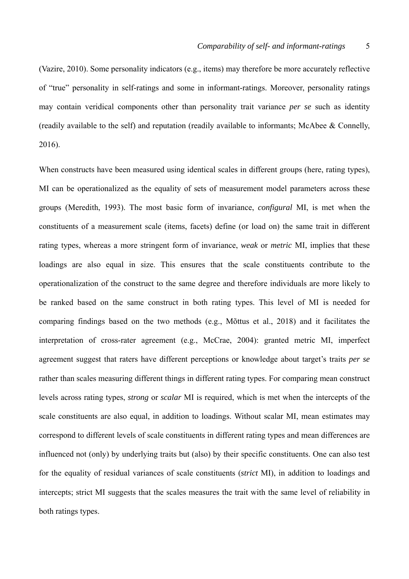(Vazire, 2010). Some personality indicators (e.g., items) may therefore be more accurately reflective of "true" personality in self-ratings and some in informant-ratings. Moreover, personality ratings may contain veridical components other than personality trait variance *per se* such as identity (readily available to the self) and reputation (readily available to informants; McAbee & Connelly, 2016).

When constructs have been measured using identical scales in different groups (here, rating types), MI can be operationalized as the equality of sets of measurement model parameters across these groups (Meredith, 1993). The most basic form of invariance, *configural* MI, is met when the constituents of a measurement scale (items, facets) define (or load on) the same trait in different rating types, whereas a more stringent form of invariance, *weak* or *metric* MI, implies that these loadings are also equal in size. This ensures that the scale constituents contribute to the operationalization of the construct to the same degree and therefore individuals are more likely to be ranked based on the same construct in both rating types. This level of MI is needed for comparing findings based on the two methods (e.g., Mõttus et al., 2018) and it facilitates the interpretation of cross-rater agreement (e.g., McCrae, 2004): granted metric MI, imperfect agreement suggest that raters have different perceptions or knowledge about target's traits *per se* rather than scales measuring different things in different rating types. For comparing mean construct levels across rating types, *strong* or *scalar* MI is required, which is met when the intercepts of the scale constituents are also equal, in addition to loadings. Without scalar MI, mean estimates may correspond to different levels of scale constituents in different rating types and mean differences are influenced not (only) by underlying traits but (also) by their specific constituents. One can also test for the equality of residual variances of scale constituents (*strict* MI), in addition to loadings and intercepts; strict MI suggests that the scales measures the trait with the same level of reliability in both ratings types.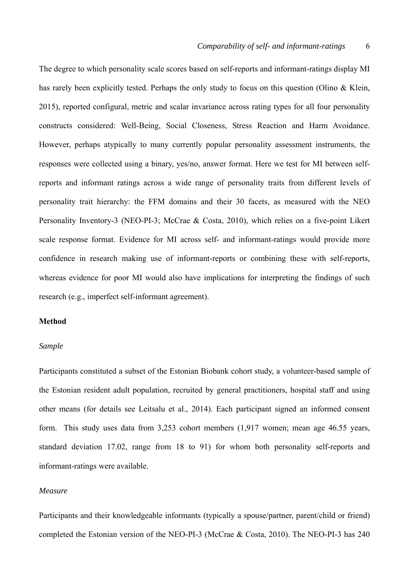The degree to which personality scale scores based on self-reports and informant-ratings display MI has rarely been explicitly tested. Perhaps the only study to focus on this question (Olino & Klein, 2015), reported configural, metric and scalar invariance across rating types for all four personality constructs considered: Well-Being, Social Closeness, Stress Reaction and Harm Avoidance. However, perhaps atypically to many currently popular personality assessment instruments, the responses were collected using a binary, yes/no, answer format. Here we test for MI between selfreports and informant ratings across a wide range of personality traits from different levels of personality trait hierarchy: the FFM domains and their 30 facets, as measured with the NEO Personality Inventory-3 (NEO-PI-3; McCrae & Costa, 2010), which relies on a five-point Likert scale response format. Evidence for MI across self- and informant-ratings would provide more confidence in research making use of informant-reports or combining these with self-reports, whereas evidence for poor MI would also have implications for interpreting the findings of such research (e.g., imperfect self-informant agreement).

## **Method**

### *Sample*

Participants constituted a subset of the Estonian Biobank cohort study, a volunteer-based sample of the Estonian resident adult population, recruited by general practitioners, hospital staff and using other means (for details see Leitsalu et al., 2014). Each participant signed an informed consent form. This study uses data from 3,253 cohort members (1,917 women; mean age 46.55 years, standard deviation 17.02, range from 18 to 91) for whom both personality self-reports and informant-ratings were available.

## *Measure*

Participants and their knowledgeable informants (typically a spouse/partner, parent/child or friend) completed the Estonian version of the NEO-PI-3 (McCrae & Costa, 2010). The NEO-PI-3 has 240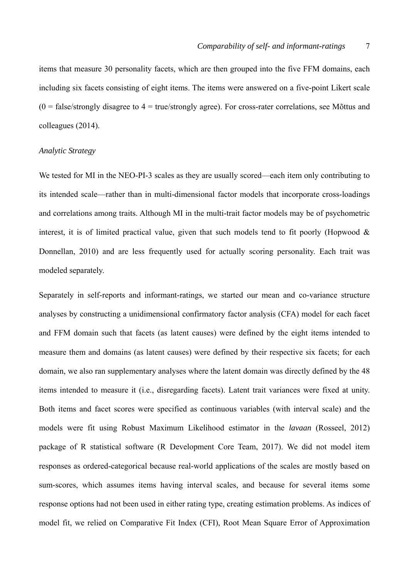items that measure 30 personality facets, which are then grouped into the five FFM domains, each including six facets consisting of eight items. The items were answered on a five-point Likert scale  $(0 = false/strongly disagree to 4 = true/strongly agree)$ . For cross-rater correlations, see Mõttus and colleagues (2014).

#### *Analytic Strategy*

We tested for MI in the NEO-PI-3 scales as they are usually scored—each item only contributing to its intended scale—rather than in multi-dimensional factor models that incorporate cross-loadings and correlations among traits. Although MI in the multi-trait factor models may be of psychometric interest, it is of limited practical value, given that such models tend to fit poorly (Hopwood  $\&$ Donnellan, 2010) and are less frequently used for actually scoring personality. Each trait was modeled separately.

Separately in self-reports and informant-ratings, we started our mean and co-variance structure analyses by constructing a unidimensional confirmatory factor analysis (CFA) model for each facet and FFM domain such that facets (as latent causes) were defined by the eight items intended to measure them and domains (as latent causes) were defined by their respective six facets; for each domain, we also ran supplementary analyses where the latent domain was directly defined by the 48 items intended to measure it (i.e., disregarding facets). Latent trait variances were fixed at unity. Both items and facet scores were specified as continuous variables (with interval scale) and the models were fit using Robust Maximum Likelihood estimator in the *lavaan* (Rosseel, 2012) package of R statistical software (R Development Core Team, 2017). We did not model item responses as ordered-categorical because real-world applications of the scales are mostly based on sum-scores, which assumes items having interval scales, and because for several items some response options had not been used in either rating type, creating estimation problems. As indices of model fit, we relied on Comparative Fit Index (CFI), Root Mean Square Error of Approximation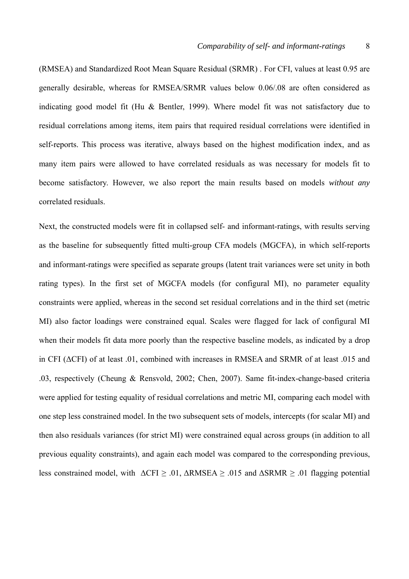(RMSEA) and Standardized Root Mean Square Residual (SRMR) . For CFI, values at least 0.95 are generally desirable, whereas for RMSEA/SRMR values below 0.06/.08 are often considered as indicating good model fit (Hu & Bentler, 1999). Where model fit was not satisfactory due to residual correlations among items, item pairs that required residual correlations were identified in self-reports. This process was iterative, always based on the highest modification index, and as many item pairs were allowed to have correlated residuals as was necessary for models fit to become satisfactory. However, we also report the main results based on models *without any* correlated residuals.

Next, the constructed models were fit in collapsed self- and informant-ratings, with results serving as the baseline for subsequently fitted multi-group CFA models (MGCFA), in which self-reports and informant-ratings were specified as separate groups (latent trait variances were set unity in both rating types). In the first set of MGCFA models (for configural MI), no parameter equality constraints were applied, whereas in the second set residual correlations and in the third set (metric MI) also factor loadings were constrained equal. Scales were flagged for lack of configural MI when their models fit data more poorly than the respective baseline models, as indicated by a drop in CFI (ΔCFI) of at least .01, combined with increases in RMSEA and SRMR of at least .015 and .03, respectively (Cheung & Rensvold, 2002; Chen, 2007). Same fit-index-change-based criteria were applied for testing equality of residual correlations and metric MI, comparing each model with one step less constrained model. In the two subsequent sets of models, intercepts (for scalar MI) and then also residuals variances (for strict MI) were constrained equal across groups (in addition to all previous equality constraints), and again each model was compared to the corresponding previous, less constrained model, with  $\Delta$ CFI  $\geq$  .01,  $\Delta$ RMSEA  $\geq$  .015 and  $\Delta$ SRMR  $\geq$  .01 flagging potential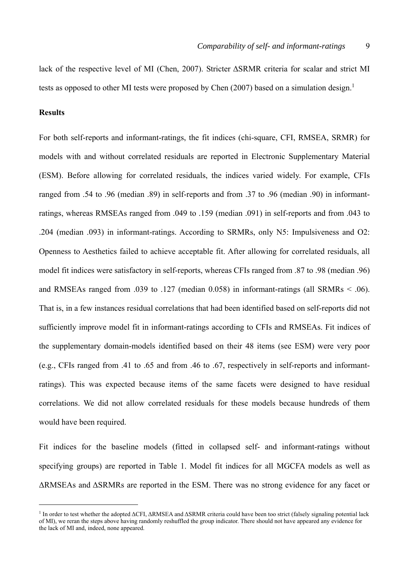lack of the respective level of MI (Chen, 2007). Stricter ΔSRMR criteria for scalar and strict MI tests as opposed to other MI tests were proposed by Chen (2007) based on a simulation design.<sup>1</sup>

## **Results**

 $\overline{a}$ 

For both self-reports and informant-ratings, the fit indices (chi-square, CFI, RMSEA, SRMR) for models with and without correlated residuals are reported in Electronic Supplementary Material (ESM). Before allowing for correlated residuals, the indices varied widely. For example, CFIs ranged from .54 to .96 (median .89) in self-reports and from .37 to .96 (median .90) in informantratings, whereas RMSEAs ranged from .049 to .159 (median .091) in self-reports and from .043 to .204 (median .093) in informant-ratings. According to SRMRs, only N5: Impulsiveness and O2: Openness to Aesthetics failed to achieve acceptable fit. After allowing for correlated residuals, all model fit indices were satisfactory in self-reports, whereas CFIs ranged from .87 to .98 (median .96) and RMSEAs ranged from .039 to .127 (median 0.058) in informant-ratings (all SRMRs < .06). That is, in a few instances residual correlations that had been identified based on self-reports did not sufficiently improve model fit in informant-ratings according to CFIs and RMSEAs. Fit indices of the supplementary domain-models identified based on their 48 items (see ESM) were very poor (e.g., CFIs ranged from .41 to .65 and from .46 to .67, respectively in self-reports and informantratings). This was expected because items of the same facets were designed to have residual correlations. We did not allow correlated residuals for these models because hundreds of them would have been required.

Fit indices for the baseline models (fitted in collapsed self- and informant-ratings without specifying groups) are reported in Table 1. Model fit indices for all MGCFA models as well as ΔRMSEAs and ΔSRMRs are reported in the ESM. There was no strong evidence for any facet or

<sup>&</sup>lt;sup>1</sup> In order to test whether the adopted ΔCFI, ΔRMSEA and ΔSRMR criteria could have been too strict (falsely signaling potential lack of MI), we reran the steps above having randomly reshuffled the group indicator. There should not have appeared any evidence for the lack of MI and, indeed, none appeared.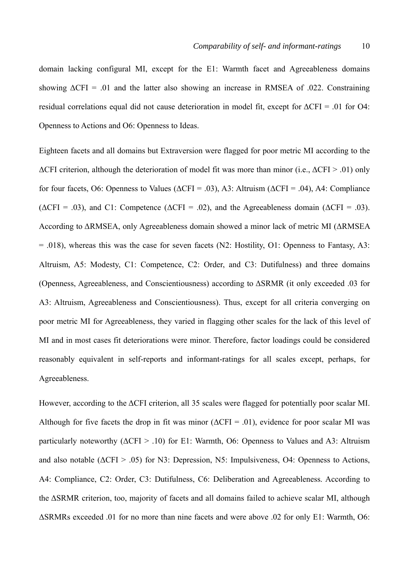domain lacking configural MI, except for the E1: Warmth facet and Agreeableness domains showing  $\Delta$ CFI = .01 and the latter also showing an increase in RMSEA of .022. Constraining residual correlations equal did not cause deterioration in model fit, except for  $\Delta$ CFI = .01 for O4: Openness to Actions and O6: Openness to Ideas.

Eighteen facets and all domains but Extraversion were flagged for poor metric MI according to the  $\Delta$ CFI criterion, although the deterioration of model fit was more than minor (i.e.,  $\Delta$ CFI > .01) only for four facets, O6: Openness to Values ( $\triangle$ CFI = .03), A3: Altruism ( $\triangle$ CFI = .04), A4: Compliance ( $\triangle$ CFI = .03), and C1: Competence ( $\triangle$ CFI = .02), and the Agreeableness domain ( $\triangle$ CFI = .03). According to ΔRMSEA, only Agreeableness domain showed a minor lack of metric MI (ΔRMSEA = .018), whereas this was the case for seven facets (N2: Hostility, O1: Openness to Fantasy, A3: Altruism, A5: Modesty, C1: Competence, C2: Order, and C3: Dutifulness) and three domains (Openness, Agreeableness, and Conscientiousness) according to ΔSRMR (it only exceeded .03 for A3: Altruism, Agreeableness and Conscientiousness). Thus, except for all criteria converging on poor metric MI for Agreeableness, they varied in flagging other scales for the lack of this level of MI and in most cases fit deteriorations were minor. Therefore, factor loadings could be considered reasonably equivalent in self-reports and informant-ratings for all scales except, perhaps, for Agreeableness.

However, according to the ΔCFI criterion, all 35 scales were flagged for potentially poor scalar MI. Although for five facets the drop in fit was minor ( $\Delta$ CFI = .01), evidence for poor scalar MI was particularly noteworthy ( $\Delta$ CFI > .10) for E1: Warmth, O6: Openness to Values and A3: Altruism and also notable ( $\triangle$ CFI > .05) for N3: Depression, N5: Impulsiveness, O4: Openness to Actions, A4: Compliance, C2: Order, C3: Dutifulness, C6: Deliberation and Agreeableness. According to the ΔSRMR criterion, too, majority of facets and all domains failed to achieve scalar MI, although ΔSRMRs exceeded .01 for no more than nine facets and were above .02 for only E1: Warmth, O6: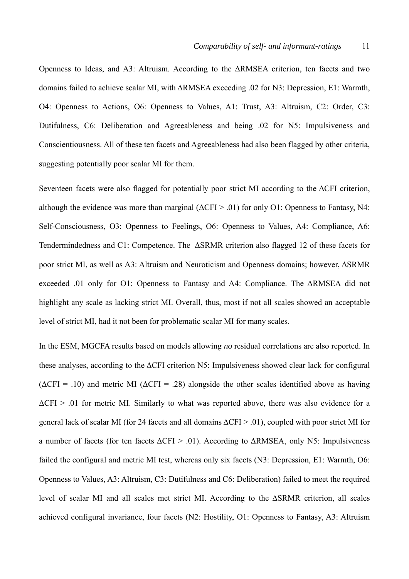Openness to Ideas, and A3: Altruism. According to the ΔRMSEA criterion, ten facets and two domains failed to achieve scalar MI, with ΔRMSEA exceeding .02 for N3: Depression, E1: Warmth, O4: Openness to Actions, O6: Openness to Values, A1: Trust, A3: Altruism, C2: Order, C3: Dutifulness, C6: Deliberation and Agreeableness and being .02 for N5: Impulsiveness and Conscientiousness. All of these ten facets and Agreeableness had also been flagged by other criteria, suggesting potentially poor scalar MI for them.

Seventeen facets were also flagged for potentially poor strict MI according to the ΔCFI criterion, although the evidence was more than marginal  $(\Delta \text{CFI} > .01)$  for only O1: Openness to Fantasy, N4: Self-Consciousness, O3: Openness to Feelings, O6: Openness to Values, A4: Compliance, A6: Tendermindedness and C1: Competence. The ΔSRMR criterion also flagged 12 of these facets for poor strict MI, as well as A3: Altruism and Neuroticism and Openness domains; however, ΔSRMR exceeded .01 only for O1: Openness to Fantasy and A4: Compliance. The ΔRMSEA did not highlight any scale as lacking strict MI. Overall, thus, most if not all scales showed an acceptable level of strict MI, had it not been for problematic scalar MI for many scales.

In the ESM, MGCFA results based on models allowing *no* residual correlations are also reported. In these analyses, according to the ΔCFI criterion N5: Impulsiveness showed clear lack for configural  $(\Delta$ CFI = .10) and metric MI ( $\Delta$ CFI = .28) alongside the other scales identified above as having  $\Delta$ CFI > .01 for metric MI. Similarly to what was reported above, there was also evidence for a general lack of scalar MI (for 24 facets and all domains  $\Delta$ CFI > .01), coupled with poor strict MI for a number of facets (for ten facets  $\Delta$ CFI > .01). According to  $\Delta$ RMSEA, only N5: Impulsiveness failed the configural and metric MI test, whereas only six facets (N3: Depression, E1: Warmth, O6: Openness to Values, A3: Altruism, C3: Dutifulness and C6: Deliberation) failed to meet the required level of scalar MI and all scales met strict MI. According to the ΔSRMR criterion, all scales achieved configural invariance, four facets (N2: Hostility, O1: Openness to Fantasy, A3: Altruism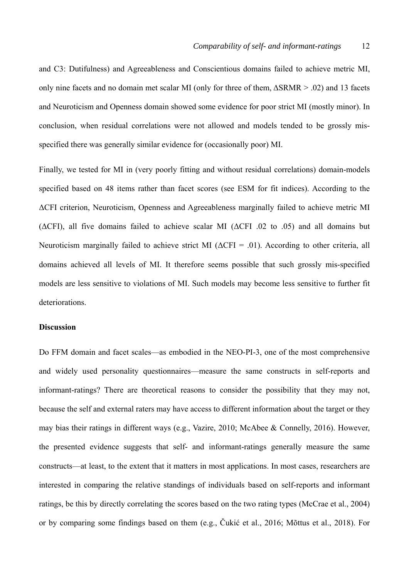and C3: Dutifulness) and Agreeableness and Conscientious domains failed to achieve metric MI, only nine facets and no domain met scalar MI (only for three of them, ΔSRMR > .02) and 13 facets and Neuroticism and Openness domain showed some evidence for poor strict MI (mostly minor). In conclusion, when residual correlations were not allowed and models tended to be grossly misspecified there was generally similar evidence for (occasionally poor) MI.

Finally, we tested for MI in (very poorly fitting and without residual correlations) domain-models specified based on 48 items rather than facet scores (see ESM for fit indices). According to the ΔCFI criterion, Neuroticism, Openness and Agreeableness marginally failed to achieve metric MI (ΔCFI), all five domains failed to achieve scalar MI (ΔCFI .02 to .05) and all domains but Neuroticism marginally failed to achieve strict MI ( $\Delta$ CFI = .01). According to other criteria, all domains achieved all levels of MI. It therefore seems possible that such grossly mis-specified models are less sensitive to violations of MI. Such models may become less sensitive to further fit deteriorations.

# **Discussion**

Do FFM domain and facet scales—as embodied in the NEO-PI-3, one of the most comprehensive and widely used personality questionnaires—measure the same constructs in self-reports and informant-ratings? There are theoretical reasons to consider the possibility that they may not, because the self and external raters may have access to different information about the target or they may bias their ratings in different ways (e.g., Vazire, 2010; McAbee & Connelly, 2016). However, the presented evidence suggests that self- and informant-ratings generally measure the same constructs—at least, to the extent that it matters in most applications. In most cases, researchers are interested in comparing the relative standings of individuals based on self-reports and informant ratings, be this by directly correlating the scores based on the two rating types (McCrae et al., 2004) or by comparing some findings based on them (e.g., Čukić et al., 2016; Mõttus et al., 2018). For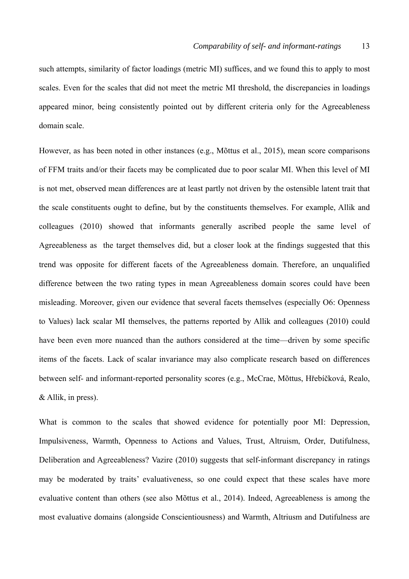such attempts, similarity of factor loadings (metric MI) suffices, and we found this to apply to most scales. Even for the scales that did not meet the metric MI threshold, the discrepancies in loadings appeared minor, being consistently pointed out by different criteria only for the Agreeableness domain scale.

However, as has been noted in other instances (e.g., Mõttus et al., 2015), mean score comparisons of FFM traits and/or their facets may be complicated due to poor scalar MI. When this level of MI is not met, observed mean differences are at least partly not driven by the ostensible latent trait that the scale constituents ought to define, but by the constituents themselves. For example, Allik and colleagues (2010) showed that informants generally ascribed people the same level of Agreeableness as the target themselves did, but a closer look at the findings suggested that this trend was opposite for different facets of the Agreeableness domain. Therefore, an unqualified difference between the two rating types in mean Agreeableness domain scores could have been misleading. Moreover, given our evidence that several facets themselves (especially O6: Openness to Values) lack scalar MI themselves, the patterns reported by Allik and colleagues (2010) could have been even more nuanced than the authors considered at the time—driven by some specific items of the facets. Lack of scalar invariance may also complicate research based on differences between self- and informant-reported personality scores (e.g., McCrae, Mõttus, Hřebíčková, Realo, & Allik, in press).

What is common to the scales that showed evidence for potentially poor MI: Depression, Impulsiveness, Warmth, Openness to Actions and Values, Trust, Altruism, Order, Dutifulness, Deliberation and Agreeableness? Vazire (2010) suggests that self-informant discrepancy in ratings may be moderated by traits' evaluativeness, so one could expect that these scales have more evaluative content than others (see also Mõttus et al., 2014). Indeed, Agreeableness is among the most evaluative domains (alongside Conscientiousness) and Warmth, Altriusm and Dutifulness are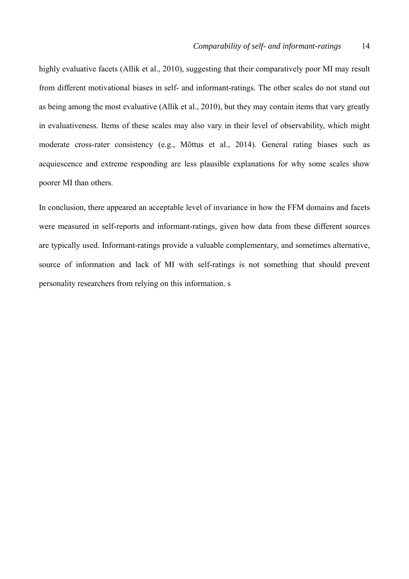highly evaluative facets (Allik et al., 2010), suggesting that their comparatively poor MI may result from different motivational biases in self- and informant-ratings. The other scales do not stand out as being among the most evaluative (Allik et al., 2010), but they may contain items that vary greatly in evaluativeness. Items of these scales may also vary in their level of observability, which might moderate cross-rater consistency (e.g., Mõttus et al., 2014). General rating biases such as acquiescence and extreme responding are less plausible explanations for why some scales show poorer MI than others.

In conclusion, there appeared an acceptable level of invariance in how the FFM domains and facets were measured in self-reports and informant-ratings, given how data from these different sources are typically used. Informant-ratings provide a valuable complementary, and sometimes alternative, source of information and lack of MI with self-ratings is not something that should prevent personality researchers from relying on this information. s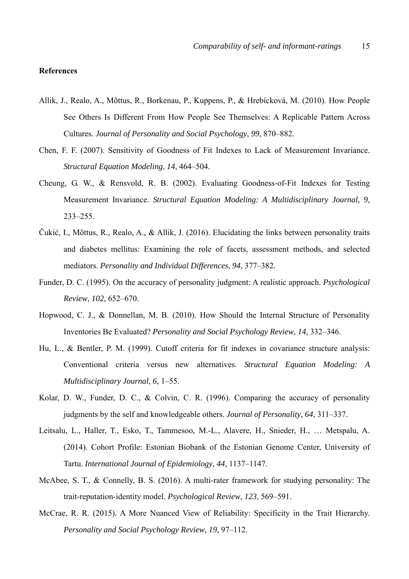# **References**

- Allik, J., Realo, A., Mõttus, R., Borkenau, P., Kuppens, P., & Hrebícková, M. (2010). How People See Others Is Different From How People See Themselves: A Replicable Pattern Across Cultures. *Journal of Personality and Social Psychology*, *99*, 870–882.
- Chen, F. F. (2007). Sensitivity of Goodness of Fit Indexes to Lack of Measurement Invariance. *Structural Equation Modeling*, *14*, 464–504.
- Cheung, G. W., & Rensvold, R. B. (2002). Evaluating Goodness-of-Fit Indexes for Testing Measurement Invariance. *Structural Equation Modeling: A Multidisciplinary Journal*, *9*, 233–255.
- Čukić, I., Mõttus, R., Realo, A., & Allik, J. (2016). Elucidating the links between personality traits and diabetes mellitus: Examining the role of facets, assessment methods, and selected mediators. *Personality and Individual Differences*, *94*, 377–382.
- Funder, D. C. (1995). On the accuracy of personality judgment: A realistic approach. *Psychological Review*, *102*, 652–670.
- Hopwood, C. J., & Donnellan, M. B. (2010). How Should the Internal Structure of Personality Inventories Be Evaluated? *Personality and Social Psychology Review*, *14*, 332–346.
- Hu, L., & Bentler, P. M. (1999). Cutoff criteria for fit indexes in covariance structure analysis: Conventional criteria versus new alternatives. *Structural Equation Modeling: A Multidisciplinary Journal*, *6*, 1–55.
- Kolar, D. W., Funder, D. C., & Colvin, C. R. (1996). Comparing the accuracy of personality judgments by the self and knowledgeable others. *Journal of Personality*, *64*, 311–337.
- Leitsalu, L., Haller, T., Esko, T., Tammesoo, M.-L., Alavere, H., Snieder, H., … Metspalu, A. (2014). Cohort Profile: Estonian Biobank of the Estonian Genome Center, University of Tartu. *International Journal of Epidemiology*, *44*, 1137–1147.
- McAbee, S. T., & Connelly, B. S. (2016). A multi-rater framework for studying personality: The trait-reputation-identity model. *Psychological Review*, *123*, 569–591.
- McCrae, R. R. (2015). A More Nuanced View of Reliability: Specificity in the Trait Hierarchy. *Personality and Social Psychology Review*, *19*, 97–112.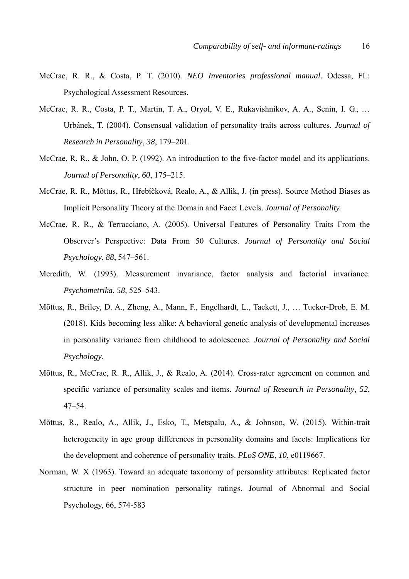- McCrae, R. R., & Costa, P. T. (2010). *NEO Inventories professional manual*. Odessa, FL: Psychological Assessment Resources.
- McCrae, R. R., Costa, P. T., Martin, T. A., Oryol, V. E., Rukavishnikov, A. A., Senin, I. G., … Urbánek, T. (2004). Consensual validation of personality traits across cultures. *Journal of Research in Personality*, *38*, 179–201.
- McCrae, R. R., & John, O. P. (1992). An introduction to the five-factor model and its applications. *Journal of Personality*, *60*, 175–215.
- McCrae, R. R., Mõttus, R., Hřebíčková, Realo, A., & Allik, J. (in press). Source Method Biases as Implicit Personality Theory at the Domain and Facet Levels. *Journal of Personality.*
- McCrae, R. R., & Terracciano, A. (2005). Universal Features of Personality Traits From the Observer's Perspective: Data From 50 Cultures. *Journal of Personality and Social Psychology*, *88*, 547–561.
- Meredith, W. (1993). Measurement invariance, factor analysis and factorial invariance. *Psychometrika*, *58*, 525–543.
- Mõttus, R., Briley, D. A., Zheng, A., Mann, F., Engelhardt, L., Tackett, J., … Tucker-Drob, E. M. (2018). Kids becoming less alike: A behavioral genetic analysis of developmental increases in personality variance from childhood to adolescence. *Journal of Personality and Social Psychology*.
- Mõttus, R., McCrae, R. R., Allik, J., & Realo, A. (2014). Cross-rater agreement on common and specific variance of personality scales and items. *Journal of Research in Personality*, *52*, 47–54.
- Mõttus, R., Realo, A., Allik, J., Esko, T., Metspalu, A., & Johnson, W. (2015). Within-trait heterogeneity in age group differences in personality domains and facets: Implications for the development and coherence of personality traits. *PLoS ONE*, *10*, e0119667.
- Norman, W. X (1963). Toward an adequate taxonomy of personality attributes: Replicated factor structure in peer nomination personality ratings. Journal of Abnormal and Social Psychology, 66, 574-583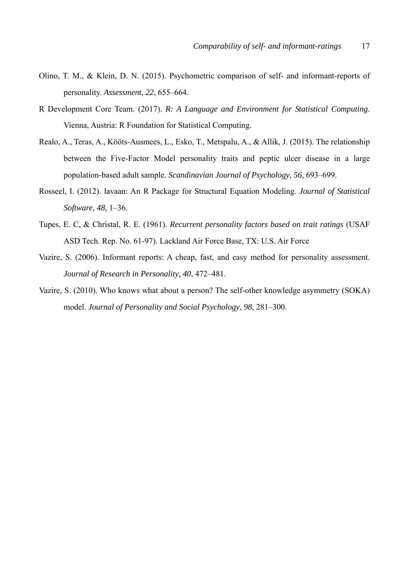- Olino, T. M., & Klein, D. N. (2015). Psychometric comparison of self- and informant-reports of personality. *Assessment*, *22*, 655–664.
- R Development Core Team. (2017). *R: A Language and Environment for Statistical Computing*. Vienna, Austria: R Foundation for Statistical Computing.
- Realo, A., Teras, A., Kööts-Ausmees, L., Esko, T., Metspalu, A., & Allik, J. (2015). The relationship between the Five-Factor Model personality traits and peptic ulcer disease in a large population-based adult sample. *Scandinavian Journal of Psychology*, *56*, 693–699.
- Rosseel, I. (2012). lavaan: An R Package for Structural Equation Modeling. *Journal of Statistical Software*, *48*, 1–36.
- Tupes, E. C, & Christal, R. E. (1961). *Recurrent personality factors based on trait ratings* (USAF ASD Tech. Rep. No. 61-97). Lackland Air Force Base, TX: U.S. Air Force
- Vazire, S. (2006). Informant reports: A cheap, fast, and easy method for personality assessment. *Journal of Research in Personality*, *40*, 472–481.
- Vazire, S. (2010). Who knows what about a person? The self-other knowledge asymmetry (SOKA) model. *Journal of Personality and Social Psychology*, *98*, 281–300.